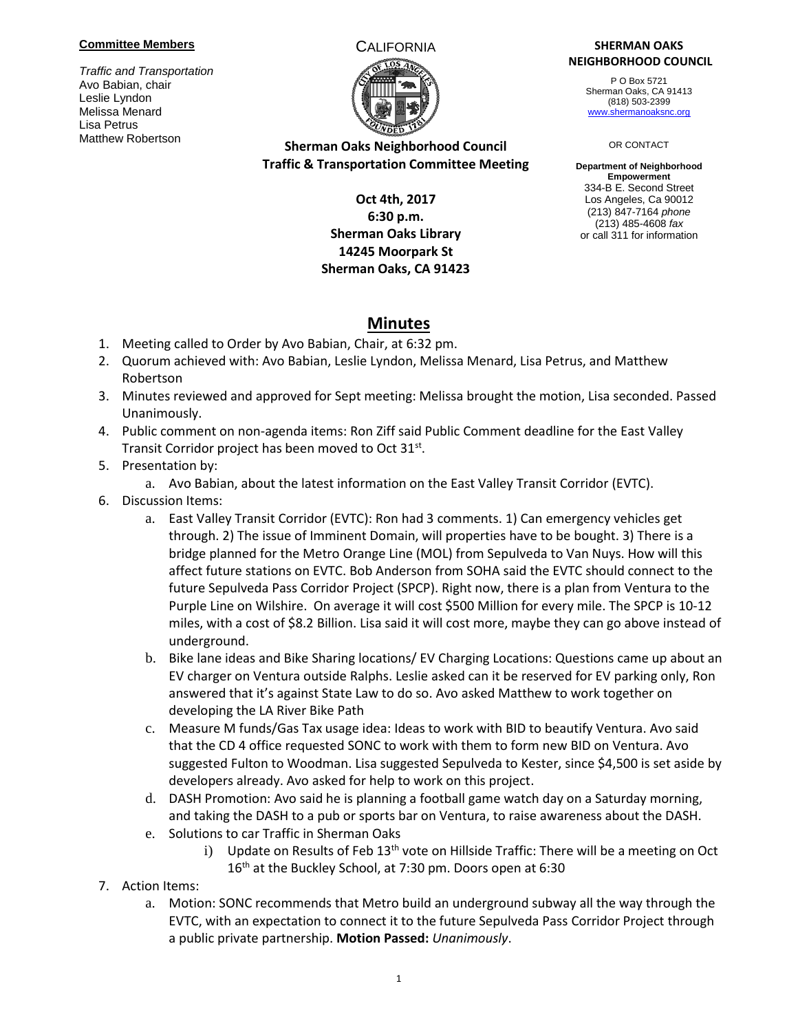### **Committee Members**

*Traffic and Transportation* Avo Babian, chair Leslie Lyndon Melissa Menard Lisa Petrus Matthew Robertson



## **Sherman Oaks Neighborhood Council Traffic & Transportation Committee Meeting**

### **Oct 4th, 2017 6:30 p.m. Sherman Oaks Library 14245 Moorpark St Sherman Oaks, CA 91423**

### CALIFORNIA **SHERMAN OAKS NEIGHBORHOOD COUNCIL**

P O Box 5721 Sherman Oaks, CA 91413 (818) 503-2399 [www.shermanoaksnc.org](http://www.shermanoaksnc.org/)

OR CONTACT

**Department of Neighborhood Empowerment** 334-B E. Second Street Los Angeles, Ca 90012 (213) 847-7164 *phone* (213) 485-4608 *fax* or call 311 for information

# **Minutes**

- 1. Meeting called to Order by Avo Babian, Chair, at 6:32 pm.
- 2. Quorum achieved with: Avo Babian, Leslie Lyndon, Melissa Menard, Lisa Petrus, and Matthew Robertson
- 3. Minutes reviewed and approved for Sept meeting: Melissa brought the motion, Lisa seconded. Passed Unanimously.
- 4. Public comment on non-agenda items: Ron Ziff said Public Comment deadline for the East Valley Transit Corridor project has been moved to Oct 31st.
- 5. Presentation by:
	- a. Avo Babian, about the latest information on the East Valley Transit Corridor (EVTC).
- 6. Discussion Items:
	- a. East Valley Transit Corridor (EVTC): Ron had 3 comments. 1) Can emergency vehicles get through. 2) The issue of Imminent Domain, will properties have to be bought. 3) There is a bridge planned for the Metro Orange Line (MOL) from Sepulveda to Van Nuys. How will this affect future stations on EVTC. Bob Anderson from SOHA said the EVTC should connect to the future Sepulveda Pass Corridor Project (SPCP). Right now, there is a plan from Ventura to the Purple Line on Wilshire. On average it will cost \$500 Million for every mile. The SPCP is 10-12 miles, with a cost of \$8.2 Billion. Lisa said it will cost more, maybe they can go above instead of underground.
	- b. Bike lane ideas and Bike Sharing locations/ EV Charging Locations: Questions came up about an EV charger on Ventura outside Ralphs. Leslie asked can it be reserved for EV parking only, Ron answered that it's against State Law to do so. Avo asked Matthew to work together on developing the LA River Bike Path
	- c. Measure M funds/Gas Tax usage idea: Ideas to work with BID to beautify Ventura. Avo said that the CD 4 office requested SONC to work with them to form new BID on Ventura. Avo suggested Fulton to Woodman. Lisa suggested Sepulveda to Kester, since \$4,500 is set aside by developers already. Avo asked for help to work on this project.
	- d. DASH Promotion: Avo said he is planning a football game watch day on a Saturday morning, and taking the DASH to a pub or sports bar on Ventura, to raise awareness about the DASH.
	- e. Solutions to car Traffic in Sherman Oaks
		- i) Update on Results of Feb  $13<sup>th</sup>$  vote on Hillside Traffic: There will be a meeting on Oct 16<sup>th</sup> at the Buckley School, at 7:30 pm. Doors open at 6:30
- 7. Action Items:
	- a. Motion: SONC recommends that Metro build an underground subway all the way through the EVTC, with an expectation to connect it to the future Sepulveda Pass Corridor Project through a public private partnership. **Motion Passed:** *Unanimously*.